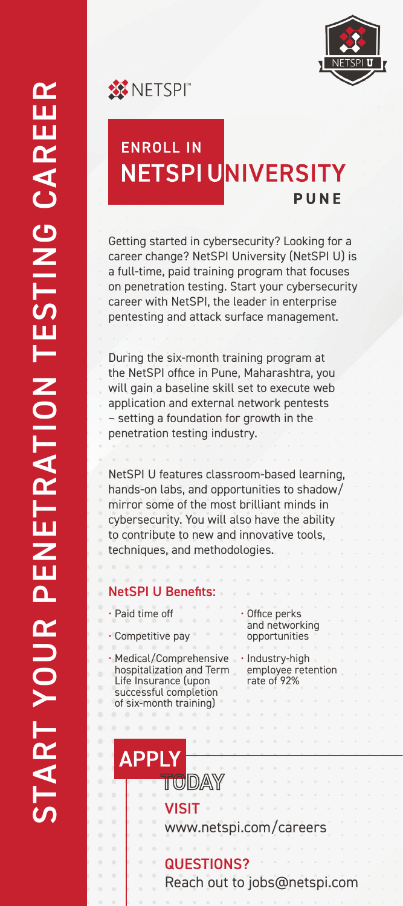





Getting started in cybersecurity? Looking for a career change? NetSPI University (NetSPI U) is a full-time, paid training program that focuses on penetration testing. Start your cybersecurity career with NetSPI, the leader in enterprise pentesting and attack surface management.

During the six-month training program at the NetSPI office in Pune, Maharashtra, you will gain a baseline skill set to execute web application and external network pentests – setting a foundation for growth in the penetration testing industry.

NetSPI U features classroom-based learning, hands-on labs, and opportunities to shadow/ mirror some of the most brilliant minds in cybersecurity. You will also have the ability to contribute to new and innovative tools, techniques, and methodologies.

# NetSPI U Benefits:

• Paid time off

• Competitive pay

• Medical/Comprehensive hospitalization and Term Life Insurance (upon successful completion of six-month training)

• Office perks and networking opportunities

• Industry-high employee retention rate of 92%

**APPI** TODAY

VISIT

www.netspi.com/careers

# QUESTIONS?

Reach out to jobs@netspi.com